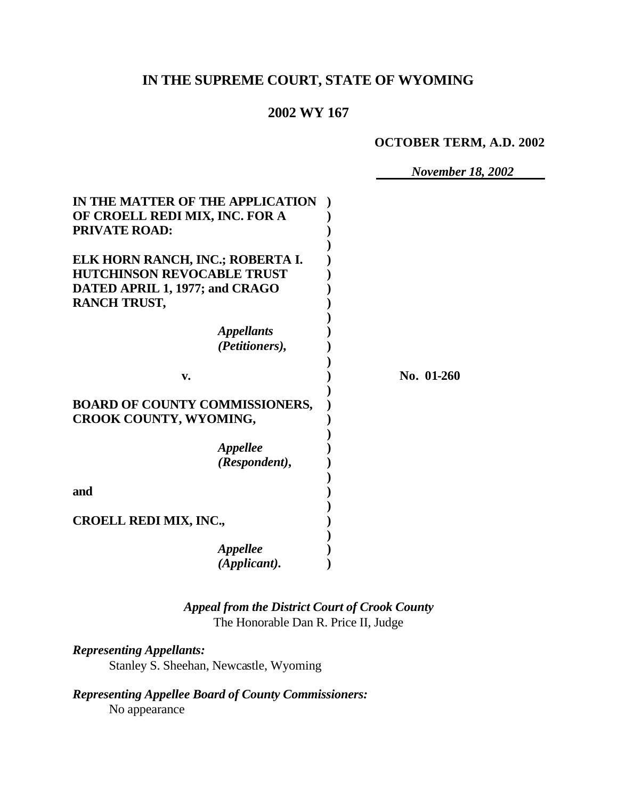# **IN THE SUPREME COURT, STATE OF WYOMING**

# **2002 WY 167**

**OCTOBER TERM, A.D. 2002**

*November 18, 2002*

| IN THE MATTER OF THE APPLICATION<br>OF CROELL REDI MIX, INC. FOR A<br><b>PRIVATE ROAD:</b>                                     |            |
|--------------------------------------------------------------------------------------------------------------------------------|------------|
| ELK HORN RANCH, INC.; ROBERTA I.<br><b>HUTCHINSON REVOCABLE TRUST</b><br>DATED APRIL 1, 1977; and CRAGO<br><b>RANCH TRUST,</b> |            |
| <i><b>Appellants</b></i><br>(Petitioners),                                                                                     |            |
| v.                                                                                                                             | No. 01-260 |
| <b>BOARD OF COUNTY COMMISSIONERS,</b><br>CROOK COUNTY, WYOMING,                                                                |            |
| <i><b>Appellee</b></i><br>(Respondent),                                                                                        |            |
| and                                                                                                                            |            |
| <b>CROELL REDI MIX, INC.,</b>                                                                                                  |            |
| <b>Appellee</b><br>(Applicant).                                                                                                |            |

*Appeal from the District Court of Crook County* The Honorable Dan R. Price II, Judge

*Representing Appellants:* Stanley S. Sheehan, Newcastle, Wyoming

*Representing Appellee Board of County Commissioners:* No appearance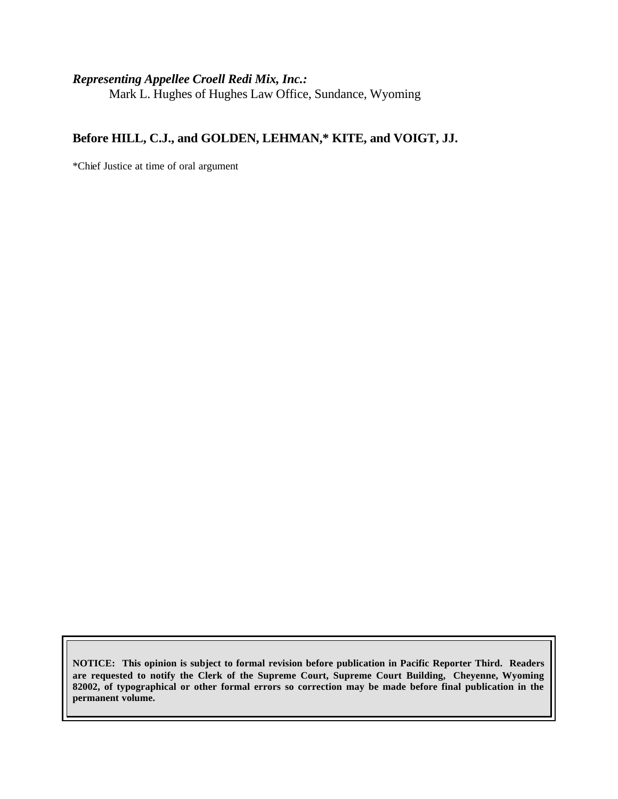### *Representing Appellee Croell Redi Mix, Inc.:*

Mark L. Hughes of Hughes Law Office, Sundance, Wyoming

### **Before HILL, C.J., and GOLDEN, LEHMAN,\* KITE, and VOIGT, JJ.**

\*Chief Justice at time of oral argument

**NOTICE: This opinion is subject to formal revision before publication in Pacific Reporter Third. Readers are requested to notify the Clerk of the Supreme Court, Supreme Court Building, Cheyenne, Wyoming 82002, of typographical or other formal errors so correction may be made before final publication in the permanent volume.**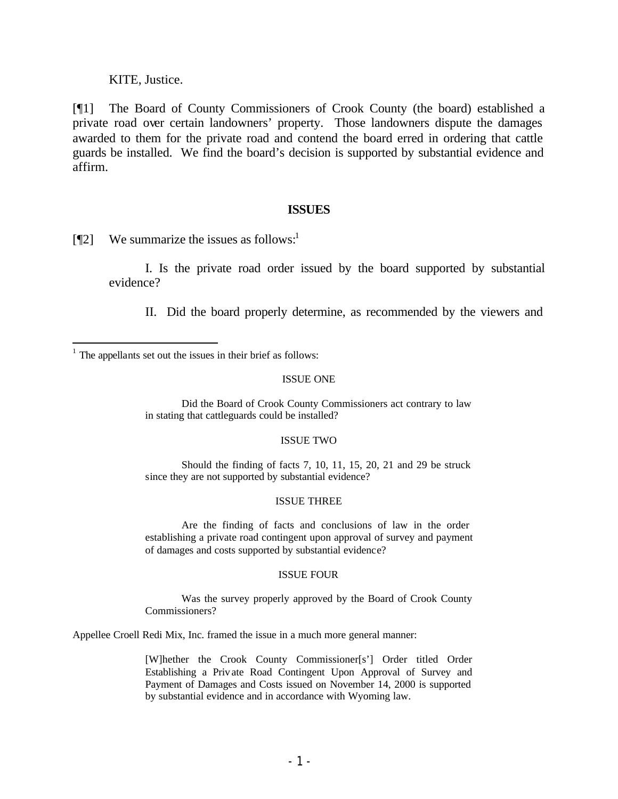KITE, Justice.

[¶1] The Board of County Commissioners of Crook County (the board) established a private road over certain landowners' property. Those landowners dispute the damages awarded to them for the private road and contend the board erred in ordering that cattle guards be installed. We find the board's decision is supported by substantial evidence and affirm.

### **ISSUES**

 $[$ [[2] We summarize the issues as follows:<sup>1</sup>

I. Is the private road order issued by the board supported by substantial evidence?

II. Did the board properly determine, as recommended by the viewers and

#### ISSUE ONE

Did the Board of Crook County Commissioners act contrary to law in stating that cattleguards could be installed?

#### ISSUE TWO

Should the finding of facts 7, 10, 11, 15, 20, 21 and 29 be struck since they are not supported by substantial evidence?

#### ISSUE THREE

Are the finding of facts and conclusions of law in the order establishing a private road contingent upon approval of survey and payment of damages and costs supported by substantial evidence?

#### ISSUE FOUR

Was the survey properly approved by the Board of Crook County Commissioners?

Appellee Croell Redi Mix, Inc. framed the issue in a much more general manner:

[W]hether the Crook County Commissioner[s'] Order titled Order Establishing a Priv ate Road Contingent Upon Approval of Survey and Payment of Damages and Costs issued on November 14, 2000 is supported by substantial evidence and in accordance with Wyoming law.

 $<sup>1</sup>$  The appellants set out the issues in their brief as follows:</sup>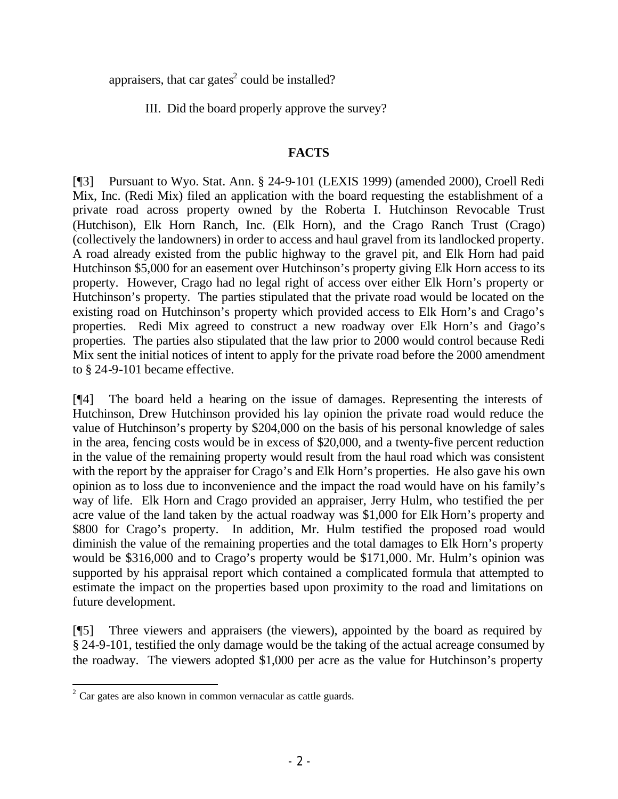appraisers, that car gates<sup>2</sup> could be installed?

III. Did the board properly approve the survey?

# **FACTS**

[¶3] Pursuant to Wyo. Stat. Ann. § 24-9-101 (LEXIS 1999) (amended 2000), Croell Redi Mix, Inc. (Redi Mix) filed an application with the board requesting the establishment of a private road across property owned by the Roberta I. Hutchinson Revocable Trust (Hutchison), Elk Horn Ranch, Inc. (Elk Horn), and the Crago Ranch Trust (Crago) (collectively the landowners) in order to access and haul gravel from its landlocked property. A road already existed from the public highway to the gravel pit, and Elk Horn had paid Hutchinson \$5,000 for an easement over Hutchinson's property giving Elk Horn access to its property. However, Crago had no legal right of access over either Elk Horn's property or Hutchinson's property. The parties stipulated that the private road would be located on the existing road on Hutchinson's property which provided access to Elk Horn's and Crago's properties. Redi Mix agreed to construct a new roadway over Elk Horn's and Crago's properties. The parties also stipulated that the law prior to 2000 would control because Redi Mix sent the initial notices of intent to apply for the private road before the 2000 amendment to § 24-9-101 became effective.

[¶4] The board held a hearing on the issue of damages. Representing the interests of Hutchinson, Drew Hutchinson provided his lay opinion the private road would reduce the value of Hutchinson's property by \$204,000 on the basis of his personal knowledge of sales in the area, fencing costs would be in excess of \$20,000, and a twenty-five percent reduction in the value of the remaining property would result from the haul road which was consistent with the report by the appraiser for Crago's and Elk Horn's properties. He also gave his own opinion as to loss due to inconvenience and the impact the road would have on his family's way of life. Elk Horn and Crago provided an appraiser, Jerry Hulm, who testified the per acre value of the land taken by the actual roadway was \$1,000 for Elk Horn's property and \$800 for Crago's property. In addition, Mr. Hulm testified the proposed road would diminish the value of the remaining properties and the total damages to Elk Horn's property would be \$316,000 and to Crago's property would be \$171,000. Mr. Hulm's opinion was supported by his appraisal report which contained a complicated formula that attempted to estimate the impact on the properties based upon proximity to the road and limitations on future development.

[¶5] Three viewers and appraisers (the viewers), appointed by the board as required by § 24-9-101, testified the only damage would be the taking of the actual acreage consumed by the roadway. The viewers adopted \$1,000 per acre as the value for Hutchinson's property

 $2^{2}$  Car gates are also known in common vernacular as cattle guards.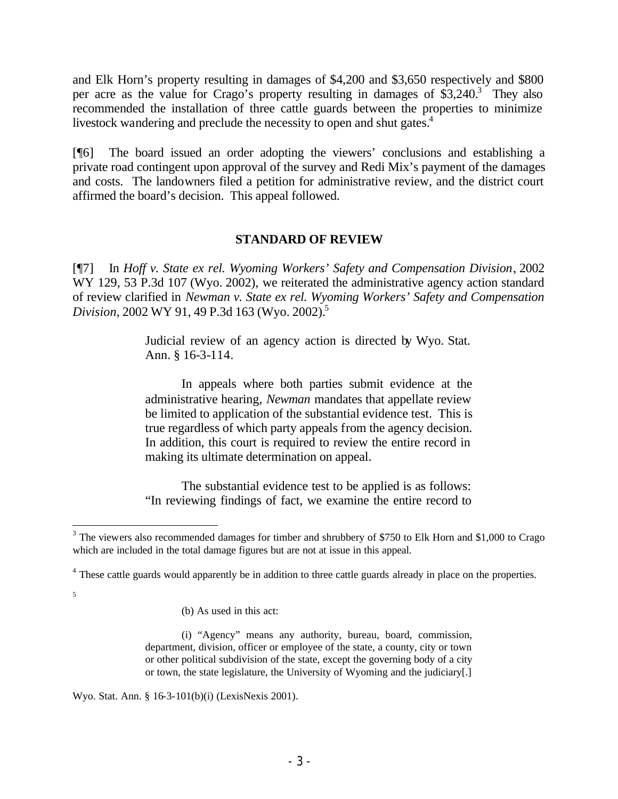and Elk Horn's property resulting in damages of \$4,200 and \$3,650 respectively and \$800 per acre as the value for Crago's property resulting in damages of  $\overline{\$3,240.3\}$ . They also recommended the installation of three cattle guards between the properties to minimize livestock wandering and preclude the necessity to open and shut gates.<sup>4</sup>

[¶6] The board issued an order adopting the viewers' conclusions and establishing a private road contingent upon approval of the survey and Redi Mix's payment of the damages and costs. The landowners filed a petition for administrative review, and the district court affirmed the board's decision. This appeal followed.

### **STANDARD OF REVIEW**

[¶7] In *Hoff v. State ex rel. Wyoming Workers' Safety and Compensation Division*, 2002 WY 129, 53 P.3d 107 (Wyo. 2002), we reiterated the administrative agency action standard of review clarified in *Newman v. State ex rel. Wyoming Workers' Safety and Compensation Division*, 2002 WY 91, 49 P.3d 163 (Wyo. 2002). 5

> Judicial review of an agency action is directed by Wyo. Stat. Ann. § 16-3-114.

> In appeals where both parties submit evidence at the administrative hearing, *Newman* mandates that appellate review be limited to application of the substantial evidence test. This is true regardless of which party appeals from the agency decision. In addition, this court is required to review the entire record in making its ultimate determination on appeal.

> The substantial evidence test to be applied is as follows: "In reviewing findings of fact, we examine the entire record to

5

Wyo. Stat. Ann. § 16-3-101(b)(i) (LexisNexis 2001).

 $3$  The viewers also recommended damages for timber and shrubbery of \$750 to Elk Horn and \$1,000 to Crago which are included in the total damage figures but are not at issue in this appeal.

<sup>&</sup>lt;sup>4</sup> These cattle guards would apparently be in addition to three cattle guards already in place on the properties.

<sup>(</sup>b) As used in this act:

<sup>(</sup>i) "Agency" means any authority, bureau, board, commission, department, division, officer or employee of the state, a county, city or town or other political subdivision of the state, except the governing body of a city or town, the state legislature, the University of Wyoming and the judiciary[.]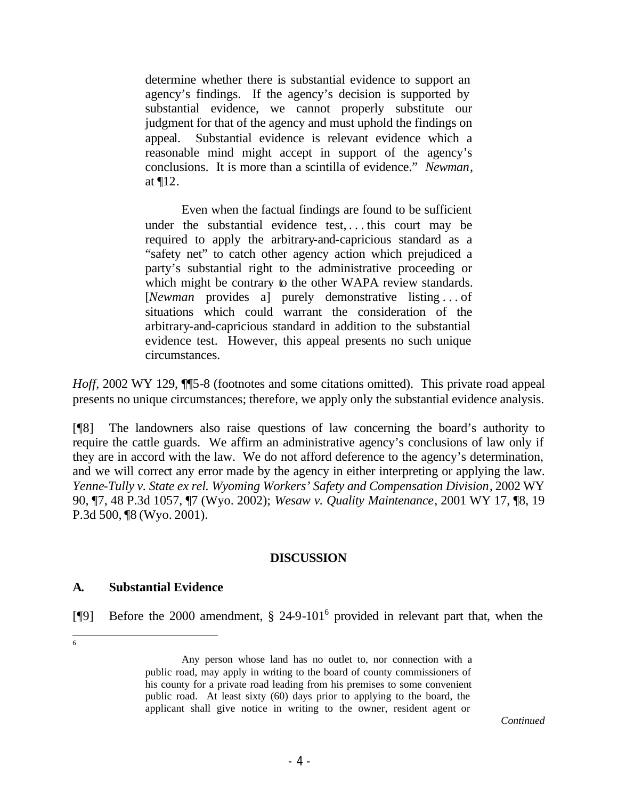determine whether there is substantial evidence to support an agency's findings. If the agency's decision is supported by substantial evidence, we cannot properly substitute our judgment for that of the agency and must uphold the findings on appeal. Substantial evidence is relevant evidence which a reasonable mind might accept in support of the agency's conclusions. It is more than a scintilla of evidence." *Newman*, at ¶12.

Even when the factual findings are found to be sufficient under the substantial evidence test, . . . this court may be required to apply the arbitrary-and-capricious standard as a "safety net" to catch other agency action which prejudiced a party's substantial right to the administrative proceeding or which might be contrary to the other WAPA review standards. [*Newman* provides a] purely demonstrative listing . . . of situations which could warrant the consideration of the arbitrary-and-capricious standard in addition to the substantial evidence test. However, this appeal presents no such unique circumstances.

*Hoff*, 2002 WY 129,  $\P$ 5-8 (footnotes and some citations omitted). This private road appeal presents no unique circumstances; therefore, we apply only the substantial evidence analysis.

[¶8] The landowners also raise questions of law concerning the board's authority to require the cattle guards. We affirm an administrative agency's conclusions of law only if they are in accord with the law. We do not afford deference to the agency's determination, and we will correct any error made by the agency in either interpreting or applying the law. *Yenne-Tully v. State ex rel. Wyoming Workers' Safety and Compensation Division*, 2002 WY 90, ¶7, 48 P.3d 1057, ¶7 (Wyo. 2002); *Wesaw v. Quality Maintenance*, 2001 WY 17, ¶8, 19 P.3d 500, ¶8 (Wyo. 2001).

### **DISCUSSION**

### **A. Substantial Evidence**

[¶9] Before the 2000 amendment, § 24-9-101<sup>6</sup> provided in relevant part that, when the

6

Any person whose land has no outlet to, nor connection with a public road, may apply in writing to the board of county commissioners of his county for a private road leading from his premises to some convenient public road. At least sixty (60) days prior to applying to the board, the applicant shall give notice in writing to the owner, resident agent or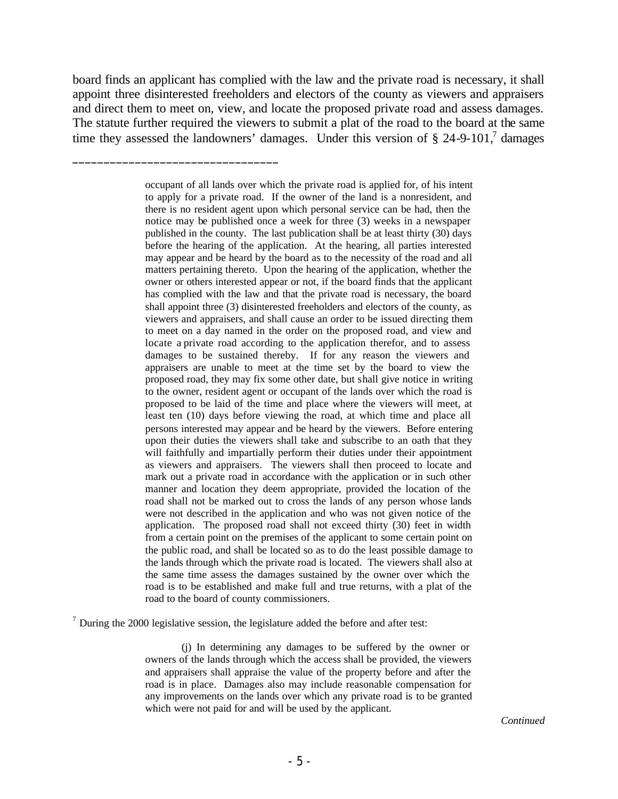board finds an applicant has complied with the law and the private road is necessary, it shall appoint three disinterested freeholders and electors of the county as viewers and appraisers and direct them to meet on, view, and locate the proposed private road and assess damages. The statute further required the viewers to submit a plat of the road to the board at the same time they assessed the landowners' damages. Under this version of  $\S$  24-9-101,<sup>7</sup> damages

\_\_\_\_\_\_\_\_\_\_\_\_\_\_\_\_\_\_\_\_\_\_\_\_\_\_\_\_\_\_\_\_\_

 $<sup>7</sup>$  During the 2000 legislative session, the legislature added the before and after test:</sup>

(j) In determining any damages to be suffered by the owner or owners of the lands through which the access shall be provided, the viewers and appraisers shall appraise the value of the property before and after the road is in place. Damages also may include reasonable compensation for any improvements on the lands over which any private road is to be granted which were not paid for and will be used by the applicant.

*Continued*

occupant of all lands over which the private road is applied for, of his intent to apply for a private road. If the owner of the land is a nonresident, and there is no resident agent upon which personal service can be had, then the notice may be published once a week for three (3) weeks in a newspaper published in the county. The last publication shall be at least thirty (30) days before the hearing of the application. At the hearing, all parties interested may appear and be heard by the board as to the necessity of the road and all matters pertaining thereto. Upon the hearing of the application, whether the owner or others interested appear or not, if the board finds that the applicant has complied with the law and that the private road is necessary, the board shall appoint three (3) disinterested freeholders and electors of the county, as viewers and appraisers, and shall cause an order to be issued directing them to meet on a day named in the order on the proposed road, and view and locate a private road according to the application therefor, and to assess damages to be sustained thereby. If for any reason the viewers and appraisers are unable to meet at the time set by the board to view the proposed road, they may fix some other date, but shall give notice in writing to the owner, resident agent or occupant of the lands over which the road is proposed to be laid of the time and place where the viewers will meet, at least ten (10) days before viewing the road, at which time and place all persons interested may appear and be heard by the viewers. Before entering upon their duties the viewers shall take and subscribe to an oath that they will faithfully and impartially perform their duties under their appointment as viewers and appraisers. The viewers shall then proceed to locate and mark out a private road in accordance with the application or in such other manner and location they deem appropriate, provided the location of the road shall not be marked out to cross the lands of any person whose lands were not described in the application and who was not given notice of the application. The proposed road shall not exceed thirty (30) feet in width from a certain point on the premises of the applicant to some certain point on the public road, and shall be located so as to do the least possible damage to the lands through which the private road is located. The viewers shall also at the same time assess the damages sustained by the owner over which the road is to be established and make full and true returns, with a plat of the road to the board of county commissioners.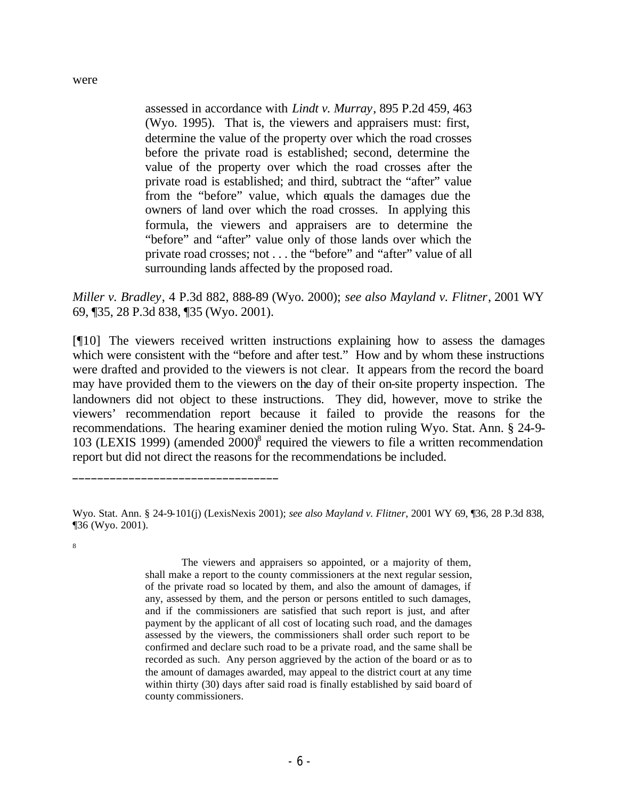assessed in accordance with *Lindt v. Murray*, 895 P.2d 459, 463 (Wyo. 1995). That is, the viewers and appraisers must: first, determine the value of the property over which the road crosses before the private road is established; second, determine the value of the property over which the road crosses after the private road is established; and third, subtract the "after" value from the "before" value, which equals the damages due the owners of land over which the road crosses. In applying this formula, the viewers and appraisers are to determine the "before" and "after" value only of those lands over which the private road crosses; not . . . the "before" and "after" value of all surrounding lands affected by the proposed road.

*Miller v. Bradley*, 4 P.3d 882, 888-89 (Wyo. 2000); *see also Mayland v. Flitner*, 2001 WY 69, ¶35, 28 P.3d 838, ¶35 (Wyo. 2001).

[¶10] The viewers received written instructions explaining how to assess the damages which were consistent with the "before and after test." How and by whom these instructions were drafted and provided to the viewers is not clear. It appears from the record the board may have provided them to the viewers on the day of their on-site property inspection. The landowners did not object to these instructions. They did, however, move to strike the viewers' recommendation report because it failed to provide the reasons for the recommendations. The hearing examiner denied the motion ruling Wyo. Stat. Ann. § 24-9- 103 (LEXIS 1999) (amended 2000)<sup>8</sup> required the viewers to file a written recommendation report but did not direct the reasons for the recommendations be included.

\_\_\_\_\_\_\_\_\_\_\_\_\_\_\_\_\_\_\_\_\_\_\_\_\_\_\_\_\_\_\_\_\_

The viewers and appraisers so appointed, or a majority of them, shall make a report to the county commissioners at the next regular session, of the private road so located by them, and also the amount of damages, if any, assessed by them, and the person or persons entitled to such damages, and if the commissioners are satisfied that such report is just, and after payment by the applicant of all cost of locating such road, and the damages assessed by the viewers, the commissioners shall order such report to be confirmed and declare such road to be a private road, and the same shall be recorded as such. Any person aggrieved by the action of the board or as to the amount of damages awarded, may appeal to the district court at any time within thirty (30) days after said road is finally established by said board of county commissioners.

Wyo. Stat. Ann. § 24-9-101(j) (LexisNexis 2001); *see also Mayland v. Flitner*, 2001 WY 69, ¶36, 28 P.3d 838, ¶36 (Wyo. 2001).

<sup>8</sup>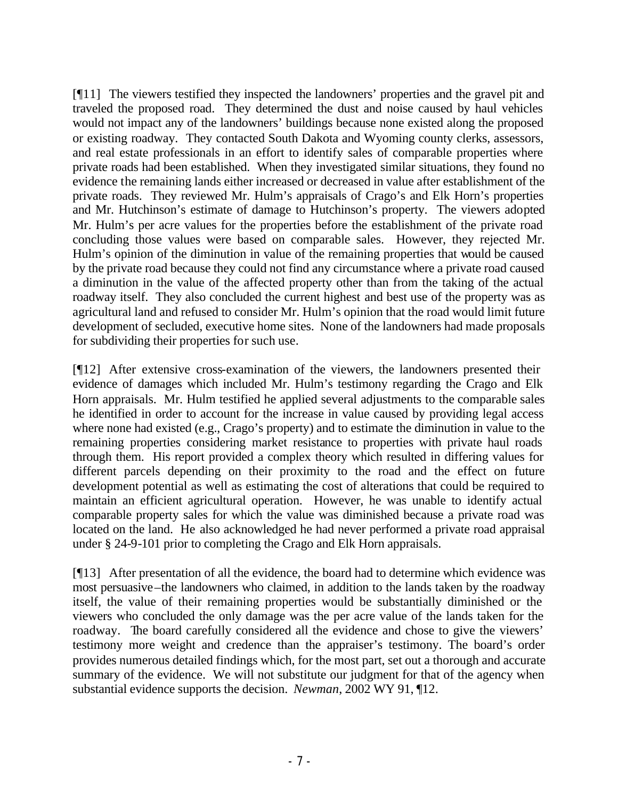[¶11] The viewers testified they inspected the landowners' properties and the gravel pit and traveled the proposed road. They determined the dust and noise caused by haul vehicles would not impact any of the landowners' buildings because none existed along the proposed or existing roadway. They contacted South Dakota and Wyoming county clerks, assessors, and real estate professionals in an effort to identify sales of comparable properties where private roads had been established. When they investigated similar situations, they found no evidence the remaining lands either increased or decreased in value after establishment of the private roads. They reviewed Mr. Hulm's appraisals of Crago's and Elk Horn's properties and Mr. Hutchinson's estimate of damage to Hutchinson's property. The viewers adopted Mr. Hulm's per acre values for the properties before the establishment of the private road concluding those values were based on comparable sales. However, they rejected Mr. Hulm's opinion of the diminution in value of the remaining properties that would be caused by the private road because they could not find any circumstance where a private road caused a diminution in the value of the affected property other than from the taking of the actual roadway itself. They also concluded the current highest and best use of the property was as agricultural land and refused to consider Mr. Hulm's opinion that the road would limit future development of secluded, executive home sites. None of the landowners had made proposals for subdividing their properties for such use.

[¶12] After extensive cross-examination of the viewers, the landowners presented their evidence of damages which included Mr. Hulm's testimony regarding the Crago and Elk Horn appraisals. Mr. Hulm testified he applied several adjustments to the comparable sales he identified in order to account for the increase in value caused by providing legal access where none had existed (e.g., Crago's property) and to estimate the diminution in value to the remaining properties considering market resistance to properties with private haul roads through them. His report provided a complex theory which resulted in differing values for different parcels depending on their proximity to the road and the effect on future development potential as well as estimating the cost of alterations that could be required to maintain an efficient agricultural operation. However, he was unable to identify actual comparable property sales for which the value was diminished because a private road was located on the land. He also acknowledged he had never performed a private road appraisal under § 24-9-101 prior to completing the Crago and Elk Horn appraisals.

[¶13] After presentation of all the evidence, the board had to determine which evidence was most persuasive–the landowners who claimed, in addition to the lands taken by the roadway itself, the value of their remaining properties would be substantially diminished or the viewers who concluded the only damage was the per acre value of the lands taken for the roadway. The board carefully considered all the evidence and chose to give the viewers' testimony more weight and credence than the appraiser's testimony. The board's order provides numerous detailed findings which, for the most part, set out a thorough and accurate summary of the evidence. We will not substitute our judgment for that of the agency when substantial evidence supports the decision. *Newman*, 2002 WY 91, ¶12.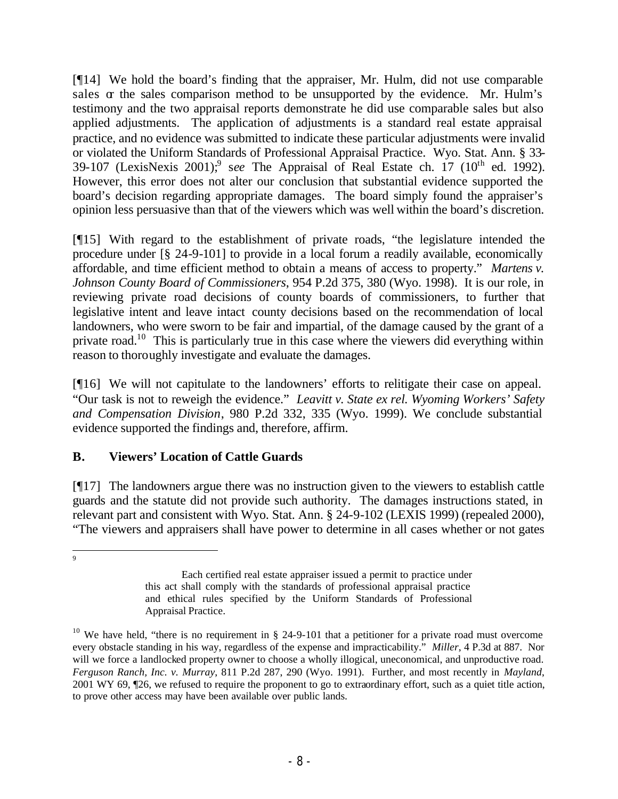[¶14] We hold the board's finding that the appraiser, Mr. Hulm, did not use comparable sales  $\alpha$  the sales comparison method to be unsupported by the evidence. Mr. Hulm's testimony and the two appraisal reports demonstrate he did use comparable sales but also applied adjustments. The application of adjustments is a standard real estate appraisal practice, and no evidence was submitted to indicate these particular adjustments were invalid or violated the Uniform Standards of Professional Appraisal Practice. Wyo. Stat. Ann. § 33- 39-107 (LexisNexis 2001);<sup>9</sup> see The Appraisal of Real Estate ch.  $17$  ( $10<sup>th</sup>$  ed. 1992). However, this error does not alter our conclusion that substantial evidence supported the board's decision regarding appropriate damages. The board simply found the appraiser's opinion less persuasive than that of the viewers which was well within the board's discretion.

[¶15] With regard to the establishment of private roads, "the legislature intended the procedure under [§ 24-9-101] to provide in a local forum a readily available, economically affordable, and time efficient method to obtain a means of access to property." *Martens v. Johnson County Board of Commissioners*, 954 P.2d 375, 380 (Wyo. 1998). It is our role, in reviewing private road decisions of county boards of commissioners, to further that legislative intent and leave intact county decisions based on the recommendation of local landowners, who were sworn to be fair and impartial, of the damage caused by the grant of a private road.<sup>10</sup> This is particularly true in this case where the viewers did everything within reason to thoroughly investigate and evaluate the damages.

[¶16] We will not capitulate to the landowners' efforts to relitigate their case on appeal. "Our task is not to reweigh the evidence." *Leavitt v. State ex rel. Wyoming Workers' Safety and Compensation Division*, 980 P.2d 332, 335 (Wyo. 1999). We conclude substantial evidence supported the findings and, therefore, affirm.

# **B. Viewers' Location of Cattle Guards**

[¶17] The landowners argue there was no instruction given to the viewers to establish cattle guards and the statute did not provide such authority. The damages instructions stated, in relevant part and consistent with Wyo. Stat. Ann. § 24-9-102 (LEXIS 1999) (repealed 2000), "The viewers and appraisers shall have power to determine in all cases whether or not gates

-<br>9

Each certified real estate appraiser issued a permit to practice under this act shall comply with the standards of professional appraisal practice and ethical rules specified by the Uniform Standards of Professional Appraisal Practice.

<sup>&</sup>lt;sup>10</sup> We have held, "there is no requirement in § 24-9-101 that a petitioner for a private road must overcome every obstacle standing in his way, regardless of the expense and impracticability." *Miller*, 4 P.3d at 887. Nor will we force a landlocked property owner to choose a wholly illogical, uneconomical, and unproductive road. *Ferguson Ranch, Inc. v. Murray*, 811 P.2d 287, 290 (Wyo. 1991). Further, and most recently in *Mayland*, 2001 WY 69, ¶26, we refused to require the proponent to go to extraordinary effort, such as a quiet title action, to prove other access may have been available over public lands.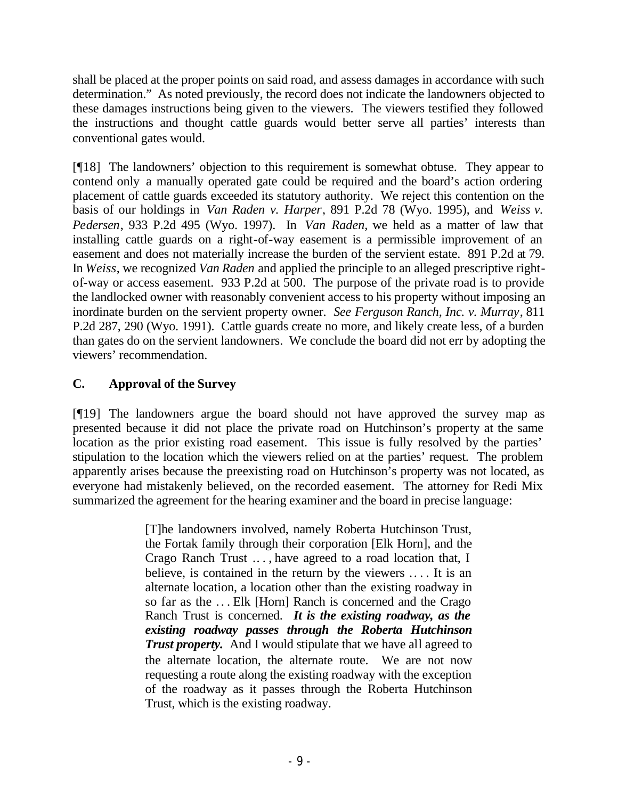shall be placed at the proper points on said road, and assess damages in accordance with such determination." As noted previously, the record does not indicate the landowners objected to these damages instructions being given to the viewers. The viewers testified they followed the instructions and thought cattle guards would better serve all parties' interests than conventional gates would.

[¶18] The landowners' objection to this requirement is somewhat obtuse. They appear to contend only a manually operated gate could be required and the board's action ordering placement of cattle guards exceeded its statutory authority. We reject this contention on the basis of our holdings in *Van Raden v. Harper*, 891 P.2d 78 (Wyo. 1995), and *Weiss v. Pedersen*, 933 P.2d 495 (Wyo. 1997). In *Van Raden,* we held as a matter of law that installing cattle guards on a right-of-way easement is a permissible improvement of an easement and does not materially increase the burden of the servient estate. 891 P.2d at 79. In *Weiss*, we recognized *Van Raden* and applied the principle to an alleged prescriptive rightof-way or access easement. 933 P.2d at 500. The purpose of the private road is to provide the landlocked owner with reasonably convenient access to his property without imposing an inordinate burden on the servient property owner. *See Ferguson Ranch, Inc. v. Murray*, 811 P.2d 287, 290 (Wyo. 1991). Cattle guards create no more, and likely create less, of a burden than gates do on the servient landowners. We conclude the board did not err by adopting the viewers' recommendation.

# **C. Approval of the Survey**

[¶19] The landowners argue the board should not have approved the survey map as presented because it did not place the private road on Hutchinson's property at the same location as the prior existing road easement. This issue is fully resolved by the parties' stipulation to the location which the viewers relied on at the parties' request. The problem apparently arises because the preexisting road on Hutchinson's property was not located, as everyone had mistakenly believed, on the recorded easement. The attorney for Redi Mix summarized the agreement for the hearing examiner and the board in precise language:

> [T]he landowners involved, namely Roberta Hutchinson Trust, the Fortak family through their corporation [Elk Horn], and the Crago Ranch Trust .. . , have agreed to a road location that, I believe, is contained in the return by the viewers .... It is an alternate location, a location other than the existing roadway in so far as the . . . Elk [Horn] Ranch is concerned and the Crago Ranch Trust is concerned. *It is the existing roadway, as the existing roadway passes through the Roberta Hutchinson Trust property.* And I would stipulate that we have all agreed to the alternate location, the alternate route. We are not now requesting a route along the existing roadway with the exception of the roadway as it passes through the Roberta Hutchinson Trust, which is the existing roadway.